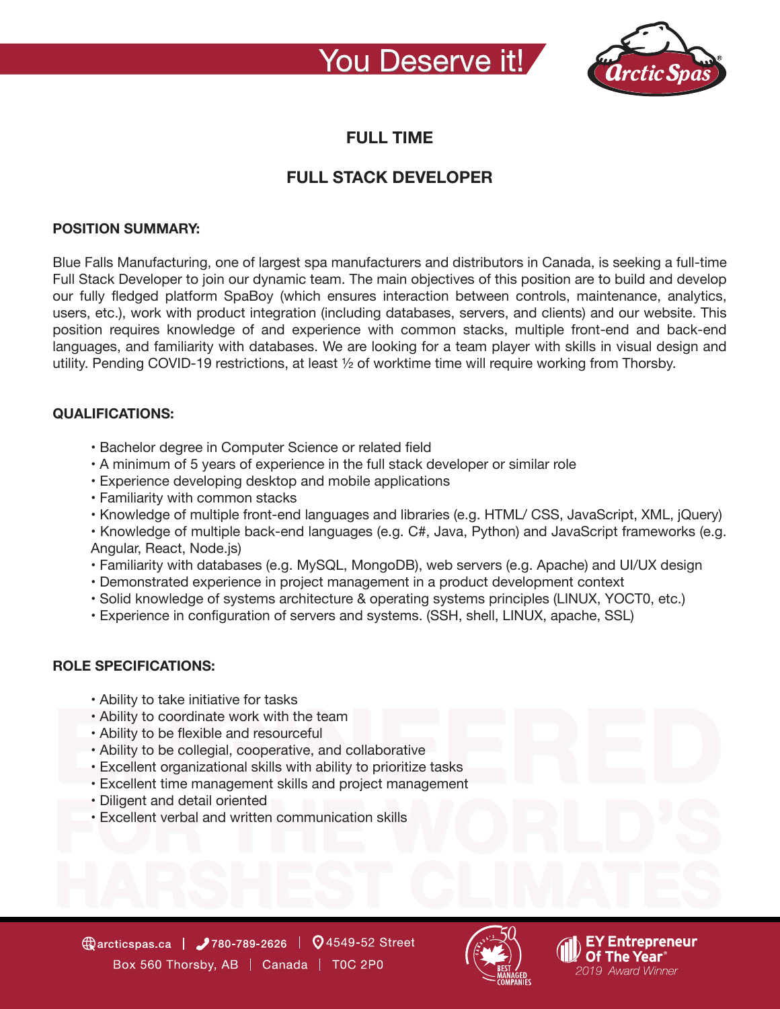## You Deserve it!



### **FULL TIME**

## **FULL STACK DEVELOPER**

#### **POSITION SUMMARY:**

Blue Falls Manufacturing, one of largest spa manufacturers and distributors in Canada, is seeking a full-time Full Stack Developer to join our dynamic team. The main objectives of this position are to build and develop our fully fledged platform SpaBoy (which ensures interaction between controls, maintenance, analytics, users, etc.), work with product integration (including databases, servers, and clients) and our website. This position requires knowledge of and experience with common stacks, multiple front-end and back-end languages, and familiarity with databases. We are looking for a team player with skills in visual design and utility. Pending COVID-19 restrictions, at least ½ of worktime time will require working from Thorsby.

#### **QUALIFICATIONS:**

- Bachelor degree in Computer Science or related field
- A minimum of 5 years of experience in the full stack developer or similar role
- Experience developing desktop and mobile applications
- Familiarity with common stacks
- Knowledge of multiple front-end languages and libraries (e.g. HTML/ CSS, JavaScript, XML, jQuery)
- Knowledge of multiple back-end languages (e.g. C#, Java, Python) and JavaScript frameworks (e.g. Angular, React, Node.js)
- Familiarity with databases (e.g. MySQL, MongoDB), web servers (e.g. Apache) and UI/UX design
- Demonstrated experience in project management in a product development context
- Solid knowledge of systems architecture & operating systems principles (LINUX, YOCT0, etc.)
- Experience in configuration of servers and systems. (SSH, shell, LINUX, apache, SSL)

### **ROLE SPECIFICATIONS:**

- Ability to take initiative for tasks
- Ability to coordinate work with the team
- Ability to be flexible and resourceful
- Ability to be collegial, cooperative, and collaborative
- Excellent organizational skills with ability to prioritize tasks
- Excellent time management skills and project management
- Diligent and detail oriented
- Excellent verbal and written communication skills